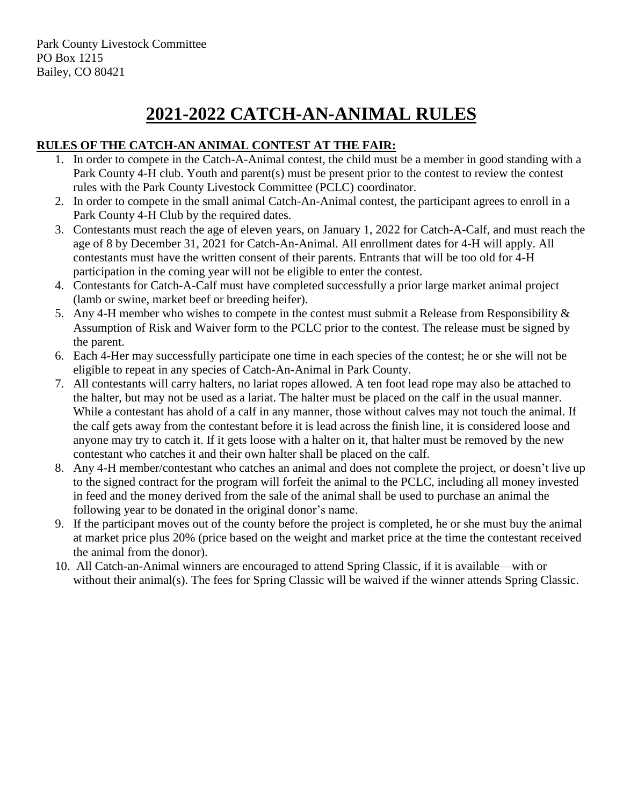# **2021-2022 CATCH-AN-ANIMAL RULES**

## **RULES OF THE CATCH-AN ANIMAL CONTEST AT THE FAIR:**

- 1. In order to compete in the Catch-A-Animal contest, the child must be a member in good standing with a Park County 4-H club. Youth and parent(s) must be present prior to the contest to review the contest rules with the Park County Livestock Committee (PCLC) coordinator.
- 2. In order to compete in the small animal Catch-An-Animal contest, the participant agrees to enroll in a Park County 4-H Club by the required dates.
- 3. Contestants must reach the age of eleven years, on January 1, 2022 for Catch-A-Calf, and must reach the age of 8 by December 31, 2021 for Catch-An-Animal. All enrollment dates for 4-H will apply. All contestants must have the written consent of their parents. Entrants that will be too old for 4-H participation in the coming year will not be eligible to enter the contest.
- 4. Contestants for Catch-A-Calf must have completed successfully a prior large market animal project (lamb or swine, market beef or breeding heifer).
- 5. Any 4-H member who wishes to compete in the contest must submit a Release from Responsibility & Assumption of Risk and Waiver form to the PCLC prior to the contest. The release must be signed by the parent.
- 6. Each 4-Her may successfully participate one time in each species of the contest; he or she will not be eligible to repeat in any species of Catch-An-Animal in Park County.
- 7. All contestants will carry halters, no lariat ropes allowed. A ten foot lead rope may also be attached to the halter, but may not be used as a lariat. The halter must be placed on the calf in the usual manner. While a contestant has ahold of a calf in any manner, those without calves may not touch the animal. If the calf gets away from the contestant before it is lead across the finish line, it is considered loose and anyone may try to catch it. If it gets loose with a halter on it, that halter must be removed by the new contestant who catches it and their own halter shall be placed on the calf.
- 8. Any 4-H member/contestant who catches an animal and does not complete the project, or doesn't live up to the signed contract for the program will forfeit the animal to the PCLC, including all money invested in feed and the money derived from the sale of the animal shall be used to purchase an animal the following year to be donated in the original donor's name.
- 9. If the participant moves out of the county before the project is completed, he or she must buy the animal at market price plus 20% (price based on the weight and market price at the time the contestant received the animal from the donor).
- 10. All Catch-an-Animal winners are encouraged to attend Spring Classic, if it is available—with or without their animal(s). The fees for Spring Classic will be waived if the winner attends Spring Classic.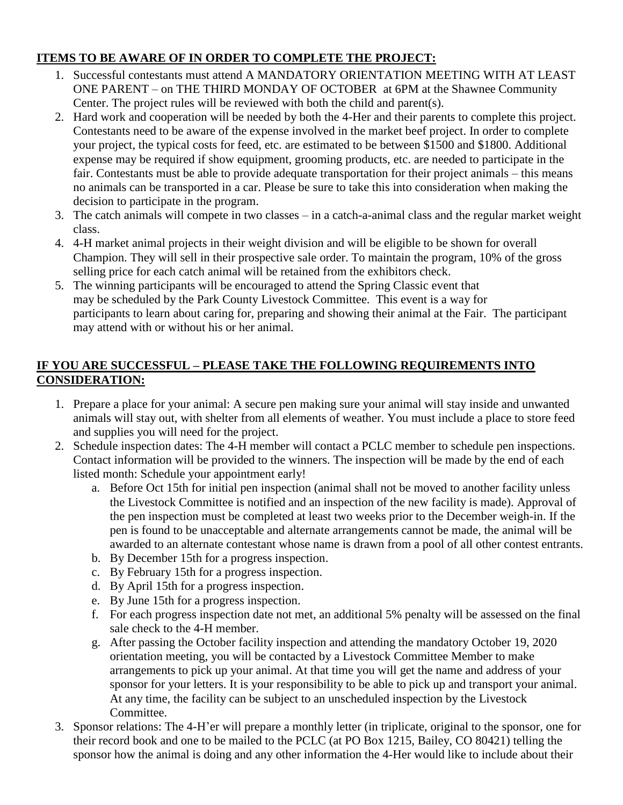#### **ITEMS TO BE AWARE OF IN ORDER TO COMPLETE THE PROJECT:**

- 1. Successful contestants must attend A MANDATORY ORIENTATION MEETING WITH AT LEAST ONE PARENT – on THE THIRD MONDAY OF OCTOBER at 6PM at the Shawnee Community Center. The project rules will be reviewed with both the child and parent(s).
- 2. Hard work and cooperation will be needed by both the 4-Her and their parents to complete this project. Contestants need to be aware of the expense involved in the market beef project. In order to complete your project, the typical costs for feed, etc. are estimated to be between \$1500 and \$1800. Additional expense may be required if show equipment, grooming products, etc. are needed to participate in the fair. Contestants must be able to provide adequate transportation for their project animals – this means no animals can be transported in a car. Please be sure to take this into consideration when making the decision to participate in the program.
- 3. The catch animals will compete in two classes in a catch-a-animal class and the regular market weight class.
- 4. 4-H market animal projects in their weight division and will be eligible to be shown for overall Champion. They will sell in their prospective sale order. To maintain the program, 10% of the gross selling price for each catch animal will be retained from the exhibitors check.
- 5. The winning participants will be encouraged to attend the Spring Classic event that may be scheduled by the Park County Livestock Committee. This event is a way for participants to learn about caring for, preparing and showing their animal at the Fair. The participant may attend with or without his or her animal.

### **IF YOU ARE SUCCESSFUL – PLEASE TAKE THE FOLLOWING REQUIREMENTS INTO CONSIDERATION:**

- 1. Prepare a place for your animal: A secure pen making sure your animal will stay inside and unwanted animals will stay out, with shelter from all elements of weather. You must include a place to store feed and supplies you will need for the project.
- 2. Schedule inspection dates: The 4-H member will contact a PCLC member to schedule pen inspections. Contact information will be provided to the winners. The inspection will be made by the end of each listed month: Schedule your appointment early!
	- a. Before Oct 15th for initial pen inspection (animal shall not be moved to another facility unless the Livestock Committee is notified and an inspection of the new facility is made). Approval of the pen inspection must be completed at least two weeks prior to the December weigh-in. If the pen is found to be unacceptable and alternate arrangements cannot be made, the animal will be awarded to an alternate contestant whose name is drawn from a pool of all other contest entrants.
	- b. By December 15th for a progress inspection.
	- c. By February 15th for a progress inspection.
	- d. By April 15th for a progress inspection.
	- e. By June 15th for a progress inspection.
	- f. For each progress inspection date not met, an additional 5% penalty will be assessed on the final sale check to the 4-H member.
	- g. After passing the October facility inspection and attending the mandatory October 19, 2020 orientation meeting, you will be contacted by a Livestock Committee Member to make arrangements to pick up your animal. At that time you will get the name and address of your sponsor for your letters. It is your responsibility to be able to pick up and transport your animal. At any time, the facility can be subject to an unscheduled inspection by the Livestock Committee.
- 3. Sponsor relations: The 4-H'er will prepare a monthly letter (in triplicate, original to the sponsor, one for their record book and one to be mailed to the PCLC (at PO Box 1215, Bailey, CO 80421) telling the sponsor how the animal is doing and any other information the 4-Her would like to include about their